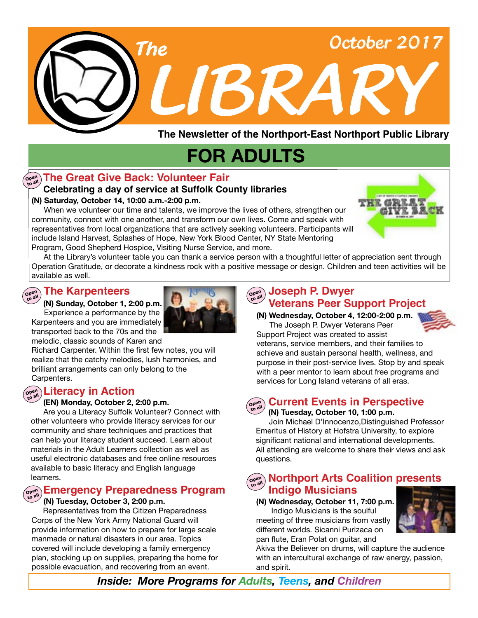

**The Newsletter of the Northport-East Northport Public Library**

# **FOR ADULTS**

## ထူးပြု The Great Give Back: Volunteer Fair

### **Celebrating a day of service at Suffolk County libraries**

#### **(N) Saturday, October 14, 10:00 a.m.-2:00 p.m.**

 When we volunteer our time and talents, we improve the lives of others, strengthen our community, connect with one another, and transform our own lives. Come and speak with representatives from local organizations that are actively seeking volunteers. Participants will include Island Harvest, Splashes of Hope, New York Blood Center, NY State Mentoring Program, Good Shepherd Hospice, Visiting Nurse Service, and more.

 At the Library's volunteer table you can thank a service person with a thoughtful letter of appreciation sent through Operation Gratitude, or decorate a kindness rock with a positive message or design. Children and teen activities will be available as well.

#### **The Karpenteers Open to all**

#### **(N) Sunday, October 1, 2:00 p.m.**

Experience a performance by the Karpenteers and you are immediately transported back to the 70s and the



melodic, classic sounds of Karen and Richard Carpenter. Within the first few notes, you will realize that the catchy melodies, lush harmonies, and brilliant arrangements can only belong to the Carpenters.

## **Open to all Literacy in Action**

#### **(EN) Monday, October 2, 2:00 p.m.**

 Are you a Literacy Suffolk Volunteer? Connect with other volunteers who provide literacy services for our community and share techniques and practices that can help your literacy student succeed. Learn about materials in the Adult Learners collection as well as useful electronic databases and free online resources available to basic literacy and English language learners.

## **Open to all Emergency Preparedness Program**

#### **(N) Tuesday, October 3, 2:00 p.m.**

 Representatives from the Citizen Preparedness Corps of the New York Army National Guard will provide information on how to prepare for large scale manmade or natural disasters in our area. Topics covered will include developing a family emergency plan, stocking up on supplies, preparing the home for possible evacuation, and recovering from an event.

#### **Veterans Peer Support Project**  $\left(\begin{array}{c}\text{open} \\ \text{to all}\end{array}\right)$ **to all Joseph P. Dwyer**

**(N) Wednesday, October 4, 12:00-2:00 p.m.** The Joseph P. Dwyer Veterans Peer



Support Project was created to assist veterans, service members, and their families to achieve and sustain personal health, wellness, and purpose in their post-service lives. Stop by and speak with a peer mentor to learn about free programs and services for Long Island veterans of all eras.

#### **Open to all Current Events in Perspective**

 **(N) Tuesday, October 10, 1:00 p.m.** 

Join Michael D'Innocenzo,Distinguished Professor Emeritus of History at Hofstra University, to explore significant national and international developments. All attending are welcome to share their views and ask questions.

## **Morthport Arts Coalition presents Indigo Musicians**

**(N) Wednesday, October 11, 7:00 p.m.** Indigo Musicians is the soulful meeting of three musicians from vastly different worlds. Sicanni Purizaca on pan flute, Eran Polat on guitar, and

Akiva the Believer on drums, will capture the audience with an intercultural exchange of raw energy, passion, and spirit.

*Inside: More Programs for Adults, Teens, and Children*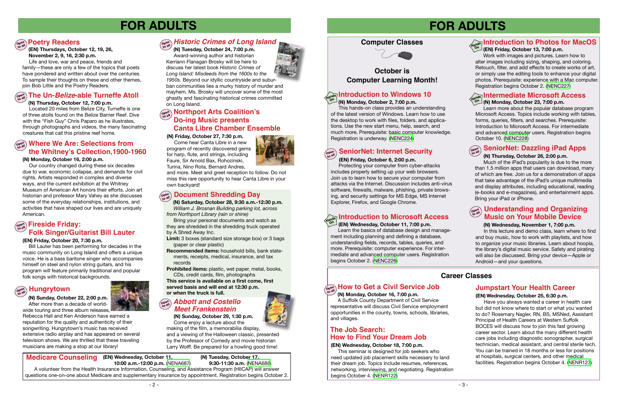## **FOR ADULTS**

## **Poetry Readers**

#### **(EN) Friday, October 20, 7:30 p.m.**

 Bill Lauter has been performing for decades in the music community on Long Island and offers a unique voice. He is a bass baritone singer who accompanies himself on steel and nylon string guitars, and his program will feature primarily traditional and popular folk songs with historical backgrounds.

## $\left(\begin{smallmatrix} \mathsf{open}\ \mathsf{on} \mathsf{on} \end{smallmatrix}\right)$  **Hungrytown**

#### **(N) Monday, October 16, 2:00 p.m.**

 Our country changed during these six decades due to war, economic collapse, and demands for civil rights. Artists responded in complex and diverse ways, and the current exhibition at the Whitney Museum of American Art honors their efforts. Join art historian and professor Mary Vahey as she discusses some of the everyday relationships, institutions, and activities that have shaped our lives and are uniquely American.

 **(N) Sunday, October 22, 2:00 p.m.** After more than a decade of worldwide touring and three album releases,

 **(N) Tuesday, October 24, 7:00 p.m.** Award-winning author and historian Kerriann Flanagan Brosky will be here to discuss her latest book *Historic Crimes of Long Island: Misdeeds from the 1600s to the 1950s*. Beyond our idyllic countryside and suburban communities lies a murky history of murder and mayhem. Ms. Brosky will uncover some of the most ghastly and fascinating historical crimes committed on Long Island.

Rebecca Hall and Ken Anderson have earned a reputation for the quality and authenticity of their songwriting. Hungrytown's music has received extensive radio airplay and has appeared on several television shows. We are thrilled that these traveling musicians are making a stop at our library!

## $\frac{\partial P}{\partial x}$  Historic Crimes of Long Island

#### **(N) Friday, October 27, 7:30 p.m.**

## **Open to all How to Get a Civil Service Job**

#### **Introduction to Windows 10 On**

 Come hear Canta Libre in a new program of recently discovered gems for harp, flute, and strings, including Faure, Sir Arnold Bax, Rohozinski, Turina, Nino Rota, Bernard Andres,

and more. Meet and greet reception to follow. Do not miss this rare opportunity to hear Canta Libre in your own backyard!

## **Open to all Fireside Friday: Folk Singer/Guitarist Bill Lauter**

## $\lim_{\omega \to 0}$  Northport Arts Coalition's **Do-ing Music presents Canta Libre Chamber Ensemble**

## **Computer Classes**



## **FOR ADULTS**

#### **(EN) Wednesday, October 11, 7:00 p.m.**

Learn the basics of database design and management including planning and defining a database, understanding fields, records, tables, queries, and more. Prerequisite: computer experience. For intermediate and advanced computer users. Registration begins October 2. ([NENC226\)](http://alpha1.suffolk.lib.ny.us/record%3Dg1057769~S43)

## **Where We Are: Selections from Open to all the Whitney's Collection,1900-1960**

### **Jumpstart Your Health Career**

#### **(EN) Wednesday, October 25, 6:30 p.m.**

 Have you always wanted a career in health care but did not know where to start or what you wanted to do? Rosemary Nagler, RN, BS, MSNed, Assistant Principal of Health Careers at Western Suffolk BOCES will discuss how to join this fast growing career sector. Learn about the many different health care jobs including diagnostic sonographer, surgical technician, medical assistant, and central sterile tech. You can be trained in 18 months or less for positions at hospitals, surgical centers, and other medical facilities. Registration begins October 4. ([NENR123\)](http://alpha1.suffolk.lib.ny.us/record%3Dg1076569~S43)

#### **(EN) Wednesday, October 18, 7:00 p.m.**

This seminar is designed for job seekers who need updated job placement skills necessary to land their dream job. Topics include resumes, references, networking, interviewing, and negotiating. Registration begins October 4. ([NENR122\)](http://alpha1.suffolk.lib.ny.us/record%3Dg1076567~S43)

 **(N) Monday, October 16, 7:00 p.m.** 

A Suffolk County Department of Civil Service representative will discuss Civil Service employment opportunities in the county, towns, schools, libraries, and villages.

 **(N) Monday, October 2, 7:00 p.m.**

 This hands-on class provides an understanding of the latest version of Windows. Learn how to use the desktop to work with files, folders, and applications. Use the new start menu, help, search, and much more. Prerequisite: basic computer knowledge. Registration is underway. ([NENC224](http://alpha1.suffolk.lib.ny.us/record%3Dg1066488~S43))

## **The Job Search: How to Find Your Dream Job**

 **(N) Saturday, October 28, 9:30 a.m.-12:30 p.m.**  *William J. Brosnan Building parking lot, across from Northport Library (rain or shine)*

## **Open to all The Un-***Belize***-able Turneffe Atoll**

Bring your personal documents and watch as they are shredded in the shredding truck operated by A Shred Away Inc.

**Limit:** 3 boxes (standard size storage box) or 3 bags (paper or clear plastic)

#### **Open to all Document Shredding Day**

**Recommended items:** household bills, bank state ments, receipts, medical, insurance, and tax records

**Prohibited items:** plastic, wet paper, metal, books, CDs, credit cards, film, photographs

**This service is available on a first come, first served basis and will end at 12:30 p.m. or when the truck is full.**

### **Career Classes**

#### **Open to all SeniorNet: Internet Security**

#### **(EN) Friday, October 6, 2:00 p.m.**

Protecting your computer from cyber-attacks includes properly setting up your web browsers. Join us to learn how to secure your computer from attacks via the Internet. Discussion includes anti-virus software, firewalls, malware, phishing, private browsing, and security settings for MS Edge, MS Internet Explorer, Firefox, and Google Chrome.

## **Introduction to Microsoft Access**<br>Mon /(EN) Wednesday Ostaber 11, 7:00 n m

## **October is Computer Learning Month!**

#### **Open to all SeniorNet: Dazzling iPad Apps**

### **(N) Thursday, October 26, 2:00 p.m.**

Much of the iPad's popularity is due to the more than 1.5 million apps that users can download, many of which are free. Join us for a demonstration of apps that take advantage of the iPad's unique multimedia and display attributes, including educational, reading (e-books and e-magazines), and entertainment apps. Bring your iPad or iPhone.

#### **(N) Wednesday, November 1, 7:00 p.m.**

## **Open to all Understanding and Organizing Music on Your Mobile Device**

In this lecture and demo class, learn where to find and buy music, how to work with playlists, and how to organize your music libraries. Learn about hoopla, the library's digital music service. Safety and pirating will also be discussed. Bring your device—Apple or Android—and your questions.

 **(N) Thursday, October 12, 7:00 p.m.** 

 Located 20 miles from Belize City, Turneffe is one of three atolls found on the Belize Barrier Reef. Dive with the "Fish Guy" Chris Paparo as he illustrates, through photographs and videos, the many fascinating creatures that call this pristine reef home.

 **(EN) Thursdays, October 12, 19, 26, November 2, 9, 16, 2:30 p.m.**

 Life and love, war and peace, friends and family—these are only a few of the topics that poets have pondered and written about over the centuries. To sample their thoughts on these and other themes, join Bob Little and the Poetry Readers.

> **(N) Sunday, October 29, 1:30 p.m.** Come enjoy a lecture about the

#### *Abbott and Costello* **Open to all** *Meet Frankenstein*

making of the film, a memorabilia display, and a viewing of the Halloween classic, presented by the Professor of Comedy and movie historian Larry Wolff. Be prepared for a howling good time!

#### **Intermediate Microsoft Access Hands (N) Monday, October 23, 7:00 p.m. On**

Learn more about the popular database program Microsoft Access. Topics include working with tables, forms, queries, filters, and searches. Prerequisite: Introduction to Microsoft Access. For intermediate and advanced computer users. Registration begins October 10. [\(NENC228\)](http://alpha1.suffolk.lib.ny.us/record%3Dg1067231~S43)

Work with images and pictures. Learn how to alter images including sizing, shaping, and coloring. Retouch, filter, and add effects to create works of art, or simply use the editing tools to enhance your digital photos. Prerequisite: experience with a Mac computer. Registration begins October 2. ([NENC227](http://alpha1.suffolk.lib.ny.us/record%3Dg1076582~S43))



**Medicare Counseling (EN) Wednesday, October 11, 10:00 a.m.-12:00 p.m.** ([NENA687](http://alpha1.suffolk.lib.ny.us/record%3Dg1076220~S43)) **(N) Tuesday, October 17, 9:30-11:30 a.m.** [\(NENA688\)](http://alpha1.suffolk.lib.ny.us/record%3Dg1076221~S43)



 $-2 -$ 

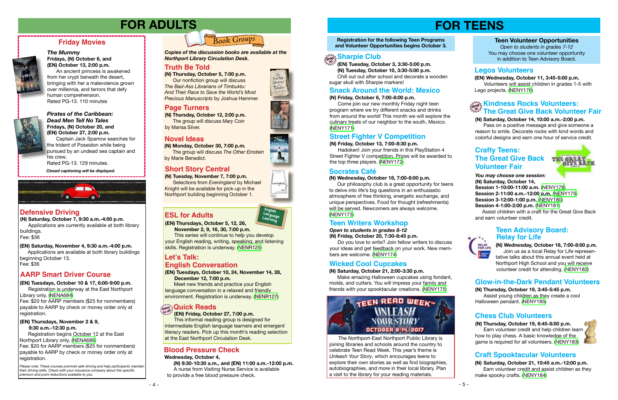## **FOR TEENS**

**Registration for the following Teen Programs and Volunteer Opportunities begins October 3.**

### **(N) Friday, October 6, 7:00-8:00 p.m.**

 **(N) Tuesday, October 10, 3:30-5:00 p.m.** Chill out out after school and decorate a wooden sugar skull with Sharpie markers!

 Come join our new monthly Friday night teen program where we try different snacks and drinks from around the world! This month we will explore the culinary treats of our neighbor to the south, Mexico. [\(NENY171\)](http://alpha1.suffolk.lib.ny.us/record%3Dg1076481~S43)

## **Snack Around the World: Mexico**

 **(EN) Tuesday, October 3, 3:30-5:00 p.m.**

#### **(N) Friday, October 13, 7:00-8:30 p.m.**

## **Sharpie Club drop in**

 Hadoken! Join your friends in this PlayStation 4 Street Fighter V competition. Prizes will be awarded to the top three players. [\(NENY172\)](http://alpha1.suffolk.lib.ny.us/record%3Dg1076482~S43)

## **Street Fighter V Competition**

#### **Teen Volunteer Opportunities**

*Open to students in grades 7-12* You may choose one volunteer opportunity in addition to Teen Advisory Board.

Please note: These courses promote safe driving and help participants maintain *their driving skills. Check with your insurance company about the specific premium and point reductions available to you.*

*You may choose one session:* **(N) Saturday, October 14, Session 1-10:00-11:00 a.m.** ([NENY178\)](http://alpha1.suffolk.lib.ny.us/record%3Dg1076511~S43) **Session 2-11:00 a.m.-12:00 p.m.** [\(NENY179](http://alpha1.suffolk.lib.ny.us/record%3Dg1076515~S43)) **Session 3-12:00-1:00 p.m.** ([NENY180](http://alpha1.suffolk.lib.ny.us/record%3Dg1076516~S43)) **Session 4-1:00-2:00 p.m.** [\(NENY181\)](http://alpha1.suffolk.lib.ny.us/record%3Dg1076518~S43)

 Assist children with a craft for the Great Give Back and earn volunteer credit.



## *Pirates of the Caribbean: Dead Men Tell No Tales*

**Fridays, (N) October 20, and (EN) October 27, 2:00 p.m.**

Library only. ([NENA684](http://alpha1.suffolk.lib.ny.us/record%3Dg1075433~S43)) Fee: \$20 for AARP members (\$25 for nonmembers) payable to AARP by check or money order only at registration.

Captain Jack Sparrow searches for the trident of Poseidon while being pursued by an undead sea captain and his crew. Rated PG-13. 129 minutes.

## **Friday Movies**



#### *The Mummy* **Fridays, (N) October 6, and (EN) October 13, 2:00 p.m.**

An ancient princess is awakened from her crypt beneath the desert, bringing with her a malevolence grown over millennia, and terrors that defy human comprehension. Rated PG-13. 110 minutes



*Closed captioning will be displayed.*



## **FOR ADULTS**

## **Defensive Driving**

## **AARP Smart Driver Course**

**(N) Saturday, October 7, 9:30 a.m.-4:00 p.m.** Applications are currently available at both library

buildings. Fee: \$36

#### **(EN) Thursdays, November 2 & 9, 9:30 a.m.-12:30 p.m.**

Registration begins October 12 at the East Northport Library only. [\(NENA689](http://alpha1.suffolk.lib.ny.us/record%3Dg1076203~S43)) Fee: \$20 for AARP members (\$25 for nonmembers) payable to AARP by check or money order only at registration.

#### **(EN) Saturday, November 4, 9:30 a.m.-4:00 p.m.**

Applications are available at both library buildings beginning October 13. Fee: \$36



**(EN) Tuesdays, October 10 & 17, 6:00-9:00 p.m.** Registration is underway at the East Northport **Truth Be Told (N) Thursday, October 5, 7:00 p.m.** Our nonfiction group will discuss

*The Bad-Ass Librarians of Timbuktu: And Their Race to Save the World's Most Precious Manuscripts* by Joshua Hammer.

## *Book Groups*

**(N) Monday, October 30, 7:00 p.m.**

 The group will discuss *The Other Einstein*  by Marie Benedict.

**(N) Thursday, October 12, 2:00 p.m.** The group will discuss *Mary Coin* by Marisa Silver.

*Copies of the discussion books are available at the Northport Library Circulation Desk.* 

### **Truth Be Told**

## **Novel Ideas**

## **Page Turners**

**(EN) Thursdays, October 5, 12, 26,** 

 **November 2, 9, 16, 30, 7:00 p.m.**

This series will continue to help you develop your English reading, writing, speaking, and listening skills. Registration is underway. ([NENR125](http://alpha1.suffolk.lib.ny.us/record%3Dg1075551~S43))

## **ESL for Adults**

**(EN) Tuesdays, October 10, 24, November 14, 28, December 12, 7:00 p.m.** 

Meet new friends and practice your English language conversation in a relaxed and friendly environment. Registration is underway. [\(NENR127](http://alpha1.suffolk.lib.ny.us/record%3Dg1075550~S43))

#### **(EN) Friday, October 27, 7:00 p.m.**

### **Let's Talk: English Conversation**

This informal reading group is designed for intermediate English language learners and emergent literacy readers. Pick up this month's reading selection at the East Northport Circulation Desk.

## **Crafty Teens: The Great Give Back Volunteer Fair**



## **Open to all Quick Reads**

## **Short Story Central**

**(N) Tuesday, November 7, 7:00 p.m.** Selections from *Eveningland* by Michael Knight will be available for pick-up in the Northport building beginning October 1.

#### **Wednesday, October 4,**

 **(N) 9:30-10:30 a.m., and (EN) 11:00 a.m.-12:00 p.m.**  A nurse from Visiting Nurse Service is available to provide a free blood pressure check.



## **Blood Pressure Check**

#### **(N) Wednesday, October 18, 7:00-8:00 p.m.**

 Our philosophy club is a great opportunity for teens to delve into life's big questions in an enthusiastic atmosphere of free thinking, energetic exchange, and unique perspectives. Food for thought (refreshments) will be served. Newcomers are always welcome. [\(NENY173](http://alpha1.suffolk.lib.ny.us/record%3Dg1076483~S43))

### **Socrates Café**

#### *Open to students in grades 8-12*

#### **(N) Friday, October 20, 7:30-8:45 p.m.**

 Do you love to write? Join fellow writers to discuss your ideas and get feedback on your work. New members are welcome. [\(NENY174\)](http://alpha1.suffolk.lib.ny.us/record%3Dg1076487~S43)

## **Teen Writers Workshop**

#### **(N) Saturday, October 21, 2:00-3:30 p.m.**

 Make amazing Halloween cupcakes using fondant, molds, and cutters. You will impress your family and friends with your spooktacular creations. ([NENY175](http://alpha1.suffolk.lib.ny.us/record%3Dg1076488~S43))



### **Wicked Cool Cupcakes**

**(EN) Wednesday, October 11, 3:45-5:00 p.m.** Volunteers will assist children in grades 1-5 with Lego projects. [\(NENY176](http://alpha1.suffolk.lib.ny.us/record%3Dg1076489~S43))

### **Legos Volunteers**

#### **(N) Saturday, October 14, 10:00 a.m.-2:00 p.m.**

 Pass on a positive message and give someone a reason to smile. Decorate rocks with kind words and colorful designs and earn one hour of service credit.

> **(N) Wednesday, October 18, 7:00-8:00 p.m.** Join us as a local Relay for Life representative talks about this annual event held at Northport High School and you will receive volunteer credit for attending. ([NENY182\)](http://alpha1.suffolk.lib.ny.us/record%3Dg1076491~S43)

**(N) Thursday, October 19, 3:45-5:45 p.m.** Assist young children as they create a cool Halloween pendant. ([NENY185](http://alpha1.suffolk.lib.ny.us/record%3Dg1076492~S43))

## **Glow-in-the-Dark Pendant Volunteers**

**(N) Thursday, October 19, 6:45-8:00 p.m.** Earn volunteer credit and help children learn how to play chess. A basic knowledge of the game is required for all volunteers. [\(NENY183](http://alpha1.suffolk.lib.ny.us/record%3Dg1076499~S43))



#### **Kindness Rocks Volunteers: The Great Give Back Volunteer Fair drop in**

### **Chess Club Volunteers**

**(N) Saturday, October 21, 10:45 a.m.-12:00 p.m.** Earn volunteer credit and assist children as they make spooky crafts. ([NENY184](http://alpha1.suffolk.lib.ny.us/record%3Dg1076506~S43))

### **Teen Advisory Board: Relay for Life**

## **Craft Spooktacular Volunteers**

The Northport-East Northport Public Library is joining libraries and schools around the country to celebrate Teen Read Week. This year's theme is *Unleash Your Story*, which encourages teens to explore their own stories as well as find biographies, autobiographies, and more in their local library. Plan a visit to the library for your reading materials.



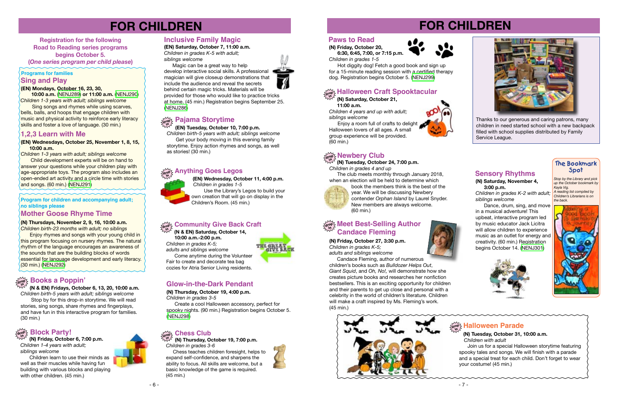

**(EN) Wednesdays, October 25, November 1, 8, 15, 10:00 a.m.** 

*Children 1-3 years with adult; siblings welcome*

 Child development experts will be on hand to answer your questions while your children play with age-appropriate toys. The program also includes an open-ended art activity and a circle time with stories and songs. (60 min.) [\(NENJ291](http://alpha1.suffolk.lib.ny.us/record%3Dg1076409~S43))

#### **(EN) Mondays, October 16, 23, 30,**

 **10:00 a.m.** ([NENJ289](http://alpha1.suffolk.lib.ny.us/record%3Dg1076400~S43)) **or 11:00 a.m.** ([NENJ290](http://alpha1.suffolk.lib.ny.us/record%3Dg1076400~S43)) *Children 1-3 years with adult; siblings welcome*

### **Sing and Play Programs for families**

 Sing songs and rhymes while using scarves, bells, balls, and hoops that engage children with music and physical activity to reinforce early literacy skills and foster a love of language. (30 min.)

# **FOR CHILDREN**

**Registration for the following Road to Reading series programs begins October 5. (***One series program per child please***)** 

## **1,2,3 Learn with Me**

**Program for children and accompanying adult; no siblings please** 

**(N) Thursdays, November 2, 9, 16, 10:00 a.m.**

#### $\mathbb{H}_{\mathbb{H}^{\infty}_{\mathbb{C}}}\times\mathbb{H}$ alloween Craft Spooktacular **in**

The club meets monthly through January 2018, when an election will be held to determine which

*Children birth-23 months with adult; no siblings* Enjoy rhymes and songs with your young child in this program focusing on nursery rhymes. The natural rhythm of the language encourages an awareness of the sounds that are the building blocks of words essential for language development and early literacy. (30 min.) ([NENJ292](http://alpha1.suffolk.lib.ny.us/record%3Dg1076390~S43))



## **Mother Goose Rhyme Time**

## **Glow-in-the-Dark Pendant**

**(N) Thursday, October 19, 4:00 p.m.** *Children in grades 3-5*

Magic can be a great way to help develop interactive social skills. A professional magician will give closeup demonstrations that include the audience and reveal the secrets behind certain magic tricks. Materials will be provided for those who would like to practice tricks at home. (45 min.) Registration begins September 25. ([NENJ286](http://alpha1.suffolk.lib.ny.us/record%3Dg1075150~S43))

 Create a cool Halloween accessory, perfect for spooky nights. (90 min.) Registration begins October 5. [\(NENJ298\)](http://alpha1.suffolk.lib.ny.us/record%3Dg1075721~S43)

 **(N & EN) Fridays, October 6, 13, 20, 10:00 a.m.** *Children birth-5 years with adult; siblings welcome*

#### $\mathcal{H}_{\mathsf{avg}}$  Pajama Storytime **in**

 Stop by for this drop-in storytime. We will read stories, sing songs, share rhymes and fingerplays, and have fun in this interactive program for families. (30 min.)

## **drop in Books a Poppin'**

- 7 -

# **FOR CHILDREN**



 **(N) Saturday, October 21, 11:00 a.m.** *Children 4 years and up with adult;* 

*siblings welcome*



**in (N) Tuesday, October 24, 7:00 p.m.** *Children in grades 4 and up*

 Enjoy a room full of crafts to delight Halloween lovers of all ages. A small group experience will be provided. (60 min.)

> book the members think is the best of the year. We will be discussing Newbery contender *Orphan Island* by Laurel Snyder. New members are always welcome. (60 min.)

## **Inclusive Family Magic**

**(EN) Saturday, October 7, 11:00 a.m.** *Children in grades K-5 with adult; siblings welcome*

## $\frac{d\mathbf{w}}{dt}$  Meet Best-Selling Author **Candace Fleming**

Dance, drum, sing, and move in a musical adventure! This upbeat, interactive program led by music educator Jack Licitra will allow children to experience music as an outlet for energy and creativity. (60 min.) Registration begins October 14. [\(NENJ301\)](http://alpha1.suffolk.lib.ny.us/record%3Dg1075518~S43)



 **(N) Friday, October 6, 7:00 p.m.** *Children 1-4 years with adult; siblings welcome*

Children learn to use their minds as well as their muscles while having fun building with various blocks and playing with other children. (45 min.)

#### **drop in Block Party!**

 **(EN) Tuesday, October 10, 7:00 p.m.**

*Children birth-5 years with adult; siblings welcome* Get your body moving in this evening family storytime. Enjoy action rhymes and songs, as well as stories! (30 min.)

#### **Anything Goes Legos drop**

 **(EN) Wednesday, October 11, 4:00 p.m.**  *Children in grades 1-5*  Use the Library's Legos to build your own creation that will go on display in the Children's Room. (45 min.)



#### **Community Give Back Craft drop**

 **(N & EN) Saturday, October 14, in**

 **10:00 a.m.-2:00 p.m.** *Children in grades K-5; adults and siblings welcome*  **Come anytime during the Volunteer** Fair to create and decorate tea bag cozies for Atria Senior Living residents.

#### **Chess Club drop**

**(N) Thursday, October 19, 7:00 p.m.** *Children in grades 3-6* **in**

 Chess teaches children foresight, helps to expand self-confidence, and sharpens the ability to focus. All skills are welcome, but a basic knowledge of the game is required. (45 min.)



#### **Paws to Read**

**(N) Friday, October 20, 6:30, 6:45, 7:00, or 7:15 p.m.** *Children in grades 1-5*



 Hot diggity dog! Fetch a good book and sign up for a 15-minute reading session with a certified therapy dog. Registration begins October 5. ([NENJ299](http://alpha1.suffolk.lib.ny.us/record%3Dg1075263~S43))

> *Stop by the Library and pick up the October bookmark by Kayla Vig. A reading list compiled by Children's Librarians is on the back.*



## $\frac{1}{\alpha_0}$  **Halloween Parade**

### **The Bookmark Spot**

**(N) Friday, October 27, 3:30 p.m.** *Children in grades K-5; adults and siblings welcome*

Candace Fleming, author of numerous

children's books such as *Bulldozer Helps Out*, *Giant Squid*, and *Oh, No!,* will demonstrate how she creates picture books and researches her nonfiction bestsellers. This is an exciting opportunity for children and their parents to get up close and personal with a celebrity in the world of children's literature. Children will make a craft inspired by Ms. Fleming's work. (45 min.)

### **Sensory Rhythms**

#### **(N) Saturday, November 4, 3:00 p.m.**

*Children in grades K-2 with adult; siblings welcome*

 **(N) Tuesday, October 31, 10:00 a.m.**  *Children with adult* 

Join us for a special Halloween storytime featuring spooky tales and songs. We will finish with a parade and a special treat for each child. Don't forget to wear your costume! (45 min.)



Thanks to our generous and caring patrons, many children in need started school with a new backpack filled with school supplies distributed by Family Service League.